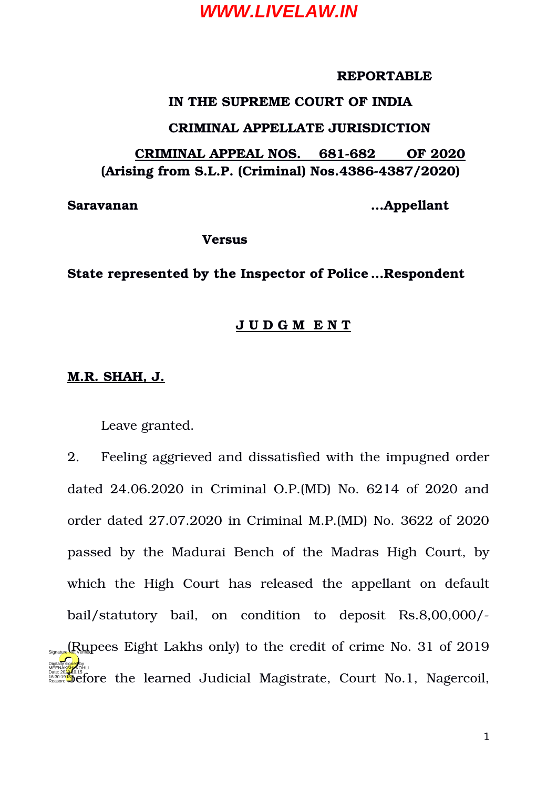#### **REPORTABLE**

#### **IN THE SUPREME COURT OF INDIA**

#### **CRIMINAL APPELLATE JURISDICTION**

#### **CRIMINAL APPEAL NOS. 681682 OF 2020 (Arising from S.L.P. (Criminal) Nos.43864387/2020)**

**Saravanan …Appellant**

**Versus**

#### **State represented by the Inspector of Police …Respondent**

#### **J U D G M E N T**

#### **M.R. SHAH, J.**

Leave granted.

2. Feeling aggrieved and dissatisfied with the impugned order dated 24.06.2020 in Criminal O.P.(MD) No. 6214 of 2020 and order dated 27.07.2020 in Criminal M.P.(MD) No. 3622 of 2020 passed by the Madurai Bench of the Madras High Court, by which the High Court has released the appellant on default bail/statutory bail, on condition to deposit Rs.8,00,000/- $\mathbb{R}_{\text{Sylanting}}$   $\mathbb{R}_{\text{Qgl}}$  preces Eight Lakhs only) to the credit of crime No. 31 of 2019 Dese 2020 **and** of 5 fore the learned Judicial Magistrate, Court No.1, Nagercoil, Digitally signed by MEENAK<mark>SH</mark>I KOHLI Reason: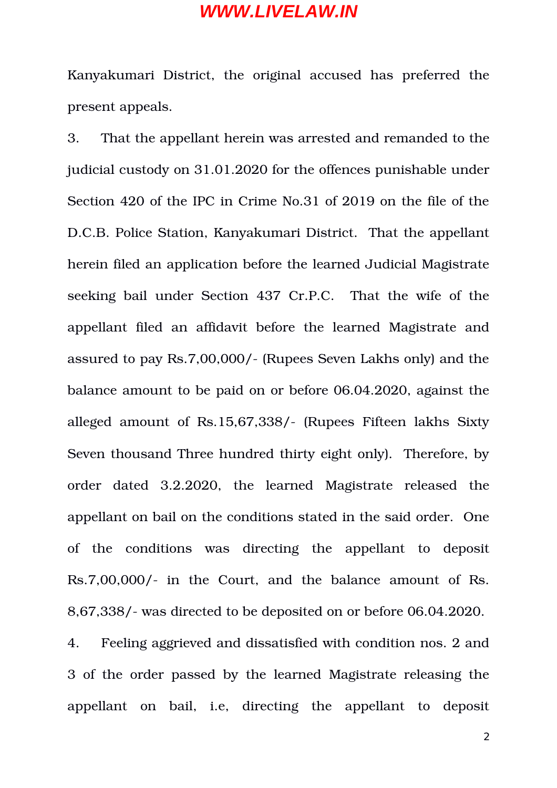Kanyakumari District, the original accused has preferred the present appeals.

3. That the appellant herein was arrested and remanded to the judicial custody on 31.01.2020 for the offences punishable under Section 420 of the IPC in Crime No.31 of 2019 on the file of the D.C.B. Police Station, Kanyakumari District. That the appellant herein filed an application before the learned Judicial Magistrate seeking bail under Section 437 Cr.P.C. That the wife of the appellant filed an affidavit before the learned Magistrate and assured to pay Rs.7,00,000/ (Rupees Seven Lakhs only) and the balance amount to be paid on or before 06.04.2020, against the alleged amount of Rs.15,67,338/- (Rupees Fifteen lakhs Sixty Seven thousand Three hundred thirty eight only). Therefore, by order dated 3.2.2020, the learned Magistrate released the appellant on bail on the conditions stated in the said order. One of the conditions was directing the appellant to deposit Rs.7,00,000/- in the Court, and the balance amount of Rs. 8,67,338/ was directed to be deposited on or before 06.04.2020.

4. Feeling aggrieved and dissatisfied with condition nos. 2 and 3 of the order passed by the learned Magistrate releasing the appellant on bail, i.e, directing the appellant to deposit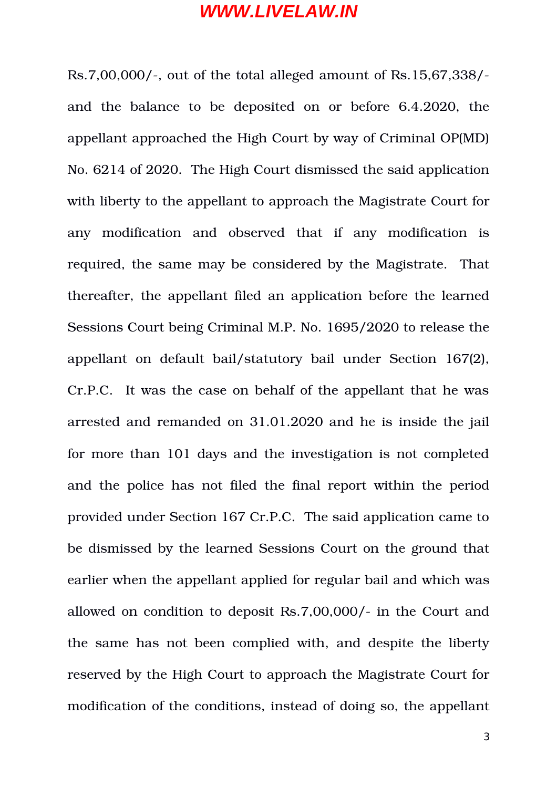$Rs.7,00,000/$ , out of the total alleged amount of  $Rs.15,67,338/$ and the balance to be deposited on or before 6.4.2020, the appellant approached the High Court by way of Criminal OP(MD) No. 6214 of 2020. The High Court dismissed the said application with liberty to the appellant to approach the Magistrate Court for any modification and observed that if any modification is required, the same may be considered by the Magistrate. That thereafter, the appellant filed an application before the learned Sessions Court being Criminal M.P. No. 1695/2020 to release the appellant on default bail/statutory bail under Section 167(2), Cr.P.C. It was the case on behalf of the appellant that he was arrested and remanded on 31.01.2020 and he is inside the jail for more than 101 days and the investigation is not completed and the police has not filed the final report within the period provided under Section 167 Cr.P.C. The said application came to be dismissed by the learned Sessions Court on the ground that earlier when the appellant applied for regular bail and which was allowed on condition to deposit Rs.7,00,000/- in the Court and the same has not been complied with, and despite the liberty reserved by the High Court to approach the Magistrate Court for modification of the conditions, instead of doing so, the appellant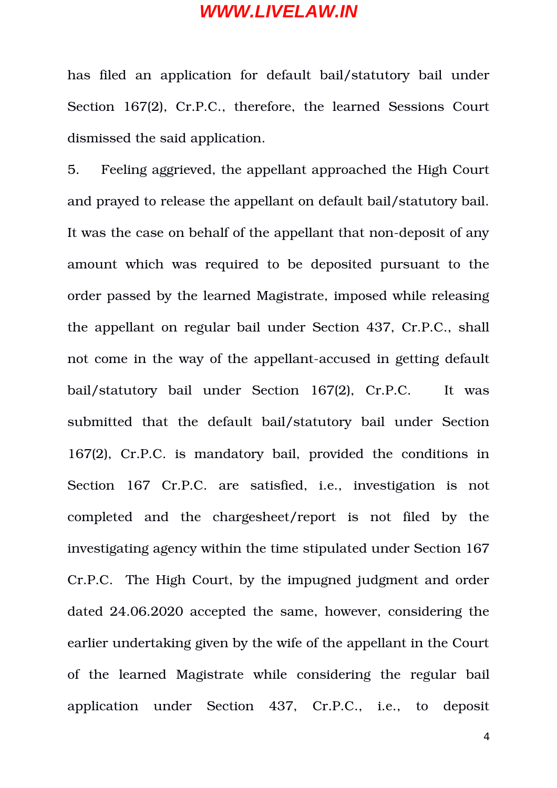has filed an application for default bail/statutory bail under Section 167(2), Cr.P.C., therefore, the learned Sessions Court dismissed the said application.

5. Feeling aggrieved, the appellant approached the High Court and prayed to release the appellant on default bail/statutory bail. It was the case on behalf of the appellant that non-deposit of any amount which was required to be deposited pursuant to the order passed by the learned Magistrate, imposed while releasing the appellant on regular bail under Section 437, Cr.P.C., shall not come in the way of the appellant-accused in getting default bail/statutory bail under Section 167(2), Cr.P.C. It was submitted that the default bail/statutory bail under Section 167(2), Cr.P.C. is mandatory bail, provided the conditions in Section 167 Cr.P.C. are satisfied, i.e., investigation is not completed and the chargesheet/report is not filed by the investigating agency within the time stipulated under Section 167 Cr.P.C. The High Court, by the impugned judgment and order dated 24.06.2020 accepted the same, however, considering the earlier undertaking given by the wife of the appellant in the Court of the learned Magistrate while considering the regular bail application under Section 437, Cr.P.C., i.e., to deposit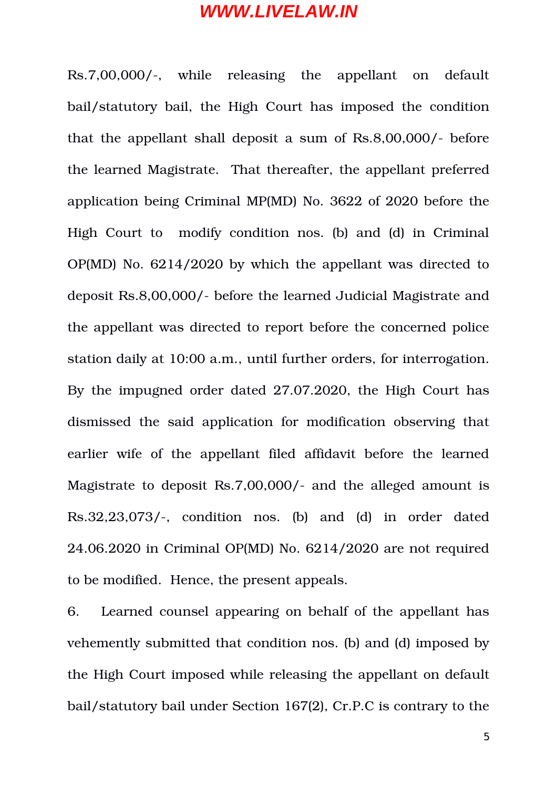Rs.7,00,000/, while releasing the appellant on default bail/statutory bail, the High Court has imposed the condition that the appellant shall deposit a sum of  $\text{Rs.8,00,000/-}$  before the learned Magistrate. That thereafter, the appellant preferred application being Criminal MP(MD) No. 3622 of 2020 before the High Court to modify condition nos. (b) and (d) in Criminal OP(MD) No. 6214/2020 by which the appellant was directed to deposit Rs.8,00,000/ before the learned Judicial Magistrate and the appellant was directed to report before the concerned police station daily at 10:00 a.m., until further orders, for interrogation. By the impugned order dated 27.07.2020, the High Court has dismissed the said application for modification observing that earlier wife of the appellant filed affidavit before the learned Magistrate to deposit Rs.7,00,000/- and the alleged amount is  $Rs.32,23,073/$ -, condition nos. (b) and (d) in order dated 24.06.2020 in Criminal OP(MD) No. 6214/2020 are not required to be modified. Hence, the present appeals.

6. Learned counsel appearing on behalf of the appellant has vehemently submitted that condition nos. (b) and (d) imposed by the High Court imposed while releasing the appellant on default bail/statutory bail under Section 167(2), Cr.P.C is contrary to the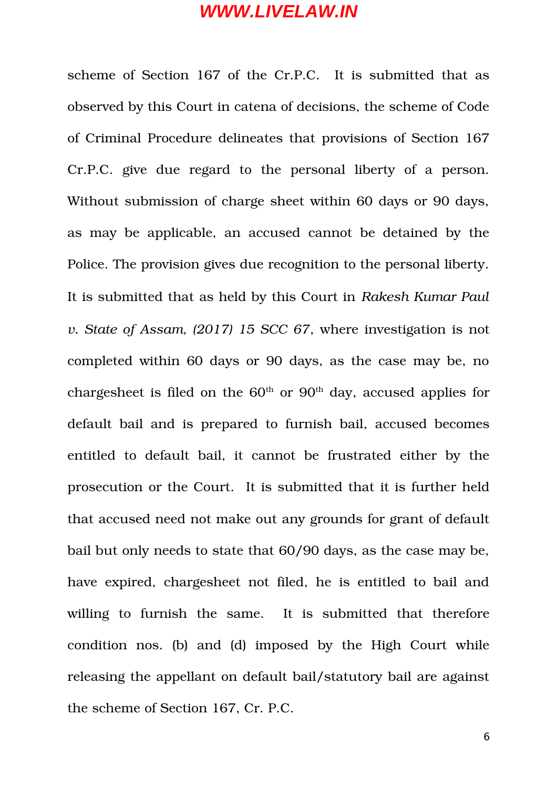scheme of Section 167 of the Cr.P.C. It is submitted that as observed by this Court in catena of decisions, the scheme of Code of Criminal Procedure delineates that provisions of Section 167 Cr.P.C. give due regard to the personal liberty of a person. Without submission of charge sheet within 60 days or 90 days, as may be applicable, an accused cannot be detained by the Police. The provision gives due recognition to the personal liberty. It is submitted that as held by this Court in *Rakesh Kumar Paul v. State of Assam, (2017) 15 SCC 67*, where investigation is not completed within 60 days or 90 days, as the case may be, no chargesheet is filed on the  $60<sup>th</sup>$  or  $90<sup>th</sup>$  day, accused applies for default bail and is prepared to furnish bail, accused becomes entitled to default bail, it cannot be frustrated either by the prosecution or the Court. It is submitted that it is further held that accused need not make out any grounds for grant of default bail but only needs to state that 60/90 days, as the case may be, have expired, chargesheet not filed, he is entitled to bail and willing to furnish the same. It is submitted that therefore condition nos. (b) and (d) imposed by the High Court while releasing the appellant on default bail/statutory bail are against the scheme of Section 167, Cr. P.C.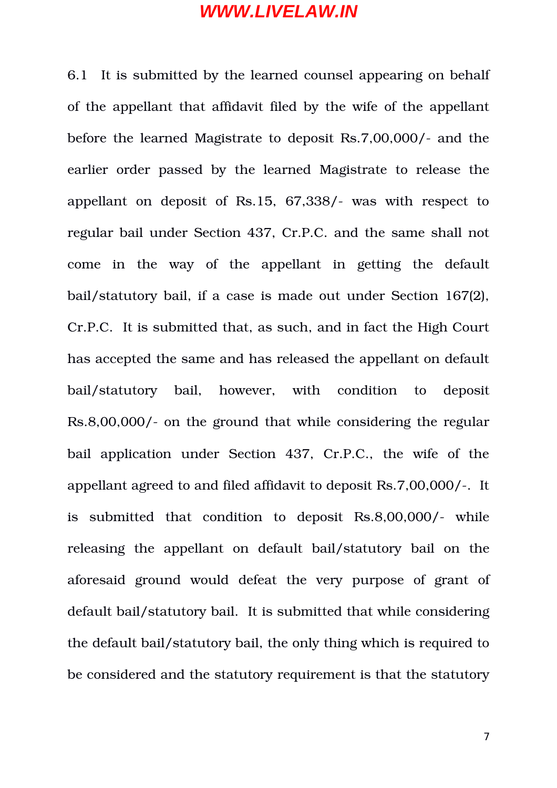6.1 It is submitted by the learned counsel appearing on behalf of the appellant that affidavit filed by the wife of the appellant before the learned Magistrate to deposit Rs. 7,00,000/- and the earlier order passed by the learned Magistrate to release the appellant on deposit of  $\text{Rs}.15, 67,338/-$  was with respect to regular bail under Section 437, Cr.P.C. and the same shall not come in the way of the appellant in getting the default bail/statutory bail, if a case is made out under Section 167(2), Cr.P.C. It is submitted that, as such, and in fact the High Court has accepted the same and has released the appellant on default bail/statutory bail, however, with condition to deposit Rs.8,00,000/- on the ground that while considering the regular bail application under Section 437, Cr.P.C., the wife of the appellant agreed to and filed affidavit to deposit Rs.7,00,000/. It is submitted that condition to deposit Rs.8,00,000/- while releasing the appellant on default bail/statutory bail on the aforesaid ground would defeat the very purpose of grant of default bail/statutory bail. It is submitted that while considering the default bail/statutory bail, the only thing which is required to be considered and the statutory requirement is that the statutory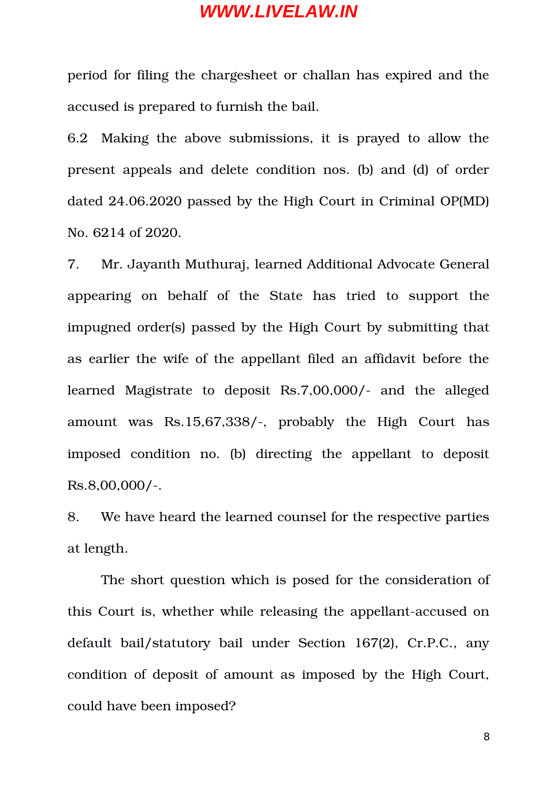period for filing the chargesheet or challan has expired and the accused is prepared to furnish the bail.

6.2 Making the above submissions, it is prayed to allow the present appeals and delete condition nos. (b) and (d) of order dated 24.06.2020 passed by the High Court in Criminal OP(MD) No. 6214 of 2020.

7. Mr. Jayanth Muthuraj, learned Additional Advocate General appearing on behalf of the State has tried to support the impugned order(s) passed by the High Court by submitting that as earlier the wife of the appellant filed an affidavit before the learned Magistrate to deposit Rs.7,00,000/- and the alleged amount was Rs.15,67,338/-, probably the High Court has imposed condition no. (b) directing the appellant to deposit  $Rs.8,00,000/-.$ 

8. We have heard the learned counsel for the respective parties at length.

The short question which is posed for the consideration of this Court is, whether while releasing the appellant-accused on default bail/statutory bail under Section 167(2), Cr.P.C., any condition of deposit of amount as imposed by the High Court, could have been imposed?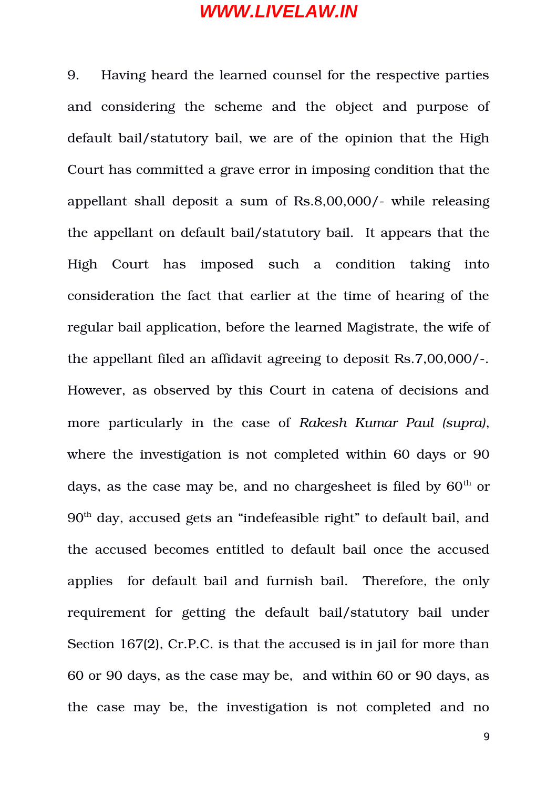9. Having heard the learned counsel for the respective parties and considering the scheme and the object and purpose of default bail/statutory bail, we are of the opinion that the High Court has committed a grave error in imposing condition that the appellant shall deposit a sum of Rs.8,00,000/- while releasing the appellant on default bail/statutory bail. It appears that the High Court has imposed such a condition taking into consideration the fact that earlier at the time of hearing of the regular bail application, before the learned Magistrate, the wife of the appellant filed an affidavit agreeing to deposit Rs.7,00,000/. However, as observed by this Court in catena of decisions and more particularly in the case of *Rakesh Kumar Paul (supra)*, where the investigation is not completed within 60 days or 90 days, as the case may be, and no chargesheet is filed by  $60<sup>th</sup>$  or 90th day, accused gets an "indefeasible right" to default bail, and the accused becomes entitled to default bail once the accused applies for default bail and furnish bail. Therefore, the only requirement for getting the default bail/statutory bail under Section 167(2), Cr.P.C. is that the accused is in jail for more than 60 or 90 days, as the case may be, and within 60 or 90 days, as the case may be, the investigation is not completed and no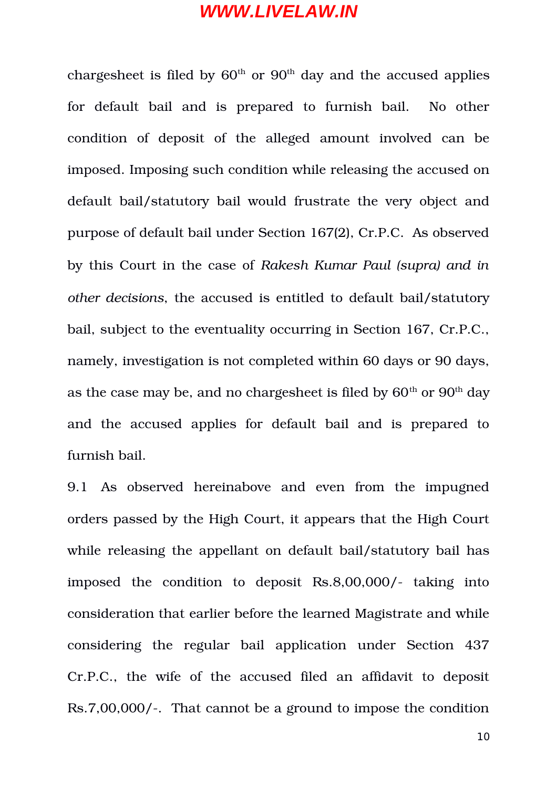chargesheet is filed by  $60<sup>th</sup>$  or  $90<sup>th</sup>$  day and the accused applies for default bail and is prepared to furnish bail. No other condition of deposit of the alleged amount involved can be imposed. Imposing such condition while releasing the accused on default bail/statutory bail would frustrate the very object and purpose of default bail under Section 167(2), Cr.P.C. As observed by this Court in the case of *Rakesh Kumar Paul (supra) and in other decisions*, the accused is entitled to default bail/statutory bail, subject to the eventuality occurring in Section 167, Cr.P.C., namely, investigation is not completed within 60 days or 90 days, as the case may be, and no chargesheet is filed by  $60<sup>th</sup>$  or  $90<sup>th</sup>$  day and the accused applies for default bail and is prepared to furnish bail.

9.1 As observed hereinabove and even from the impugned orders passed by the High Court, it appears that the High Court while releasing the appellant on default bail/statutory bail has imposed the condition to deposit  $\text{Rs.8,00,000}/-$  taking into consideration that earlier before the learned Magistrate and while considering the regular bail application under Section 437 Cr.P.C., the wife of the accused filed an affidavit to deposit Rs.7,00,000/-. That cannot be a ground to impose the condition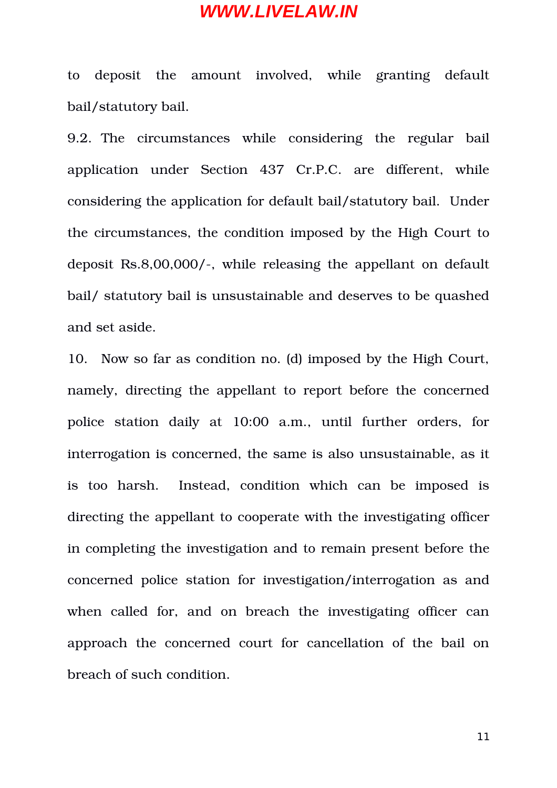to deposit the amount involved, while granting default bail/statutory bail.

9.2. The circumstances while considering the regular bail application under Section 437 Cr.P.C. are different, while considering the application for default bail/statutory bail. Under the circumstances, the condition imposed by the High Court to deposit Rs.8,00,000/-, while releasing the appellant on default bail/ statutory bail is unsustainable and deserves to be quashed and set aside.

10. Now so far as condition no. (d) imposed by the High Court, namely, directing the appellant to report before the concerned police station daily at 10:00 a.m., until further orders, for interrogation is concerned, the same is also unsustainable, as it is too harsh. Instead, condition which can be imposed is directing the appellant to cooperate with the investigating officer in completing the investigation and to remain present before the concerned police station for investigation/interrogation as and when called for, and on breach the investigating officer can approach the concerned court for cancellation of the bail on breach of such condition.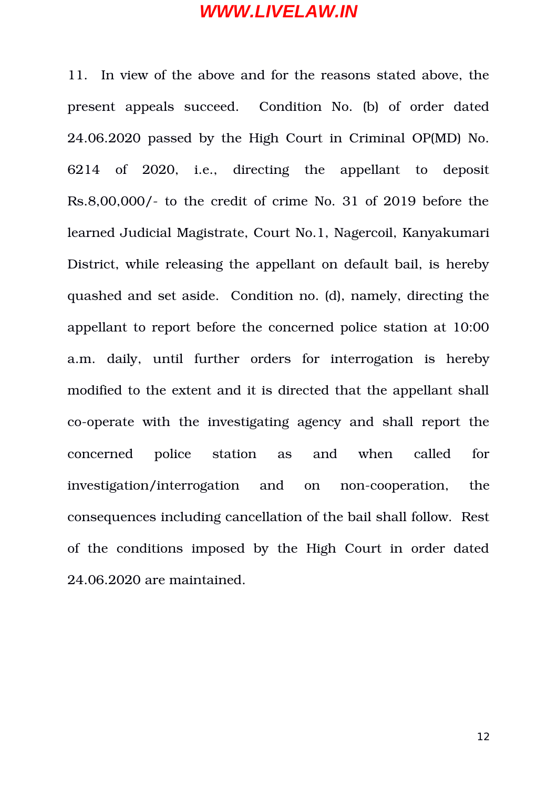11. In view of the above and for the reasons stated above, the present appeals succeed. Condition No. (b) of order dated 24.06.2020 passed by the High Court in Criminal OP(MD) No. 6214 of 2020, i.e., directing the appellant to deposit Rs.8,00,000/ to the credit of crime No. 31 of 2019 before the learned Judicial Magistrate, Court No.1, Nagercoil, Kanyakumari District, while releasing the appellant on default bail, is hereby quashed and set aside. Condition no. (d), namely, directing the appellant to report before the concerned police station at 10:00 a.m. daily, until further orders for interrogation is hereby modified to the extent and it is directed that the appellant shall co-operate with the investigating agency and shall report the concerned police station as and when called for investigation/interrogation and on non-cooperation, the consequences including cancellation of the bail shall follow. Rest of the conditions imposed by the High Court in order dated 24.06.2020 are maintained.